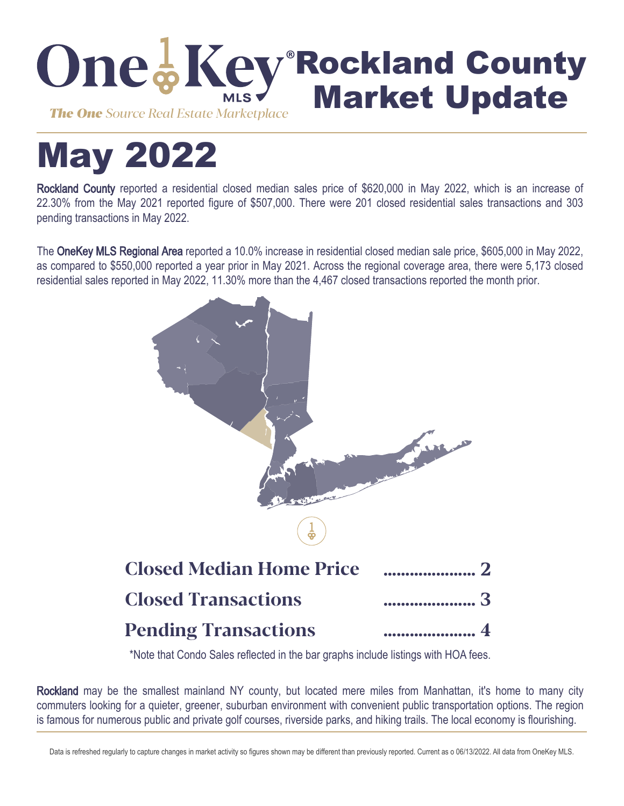

# May 2022

Rockland County reported a residential closed median sales price of \$620,000 in May 2022, which is an increase of 22.30% from the May 2021 reported figure of \$507,000. There were 201 closed residential sales transactions and 303 pending transactions in May 2022.

The OneKey MLS Regional Area reported a 10.0% increase in residential closed median sale price, \$605,000 in May 2022, as compared to \$550,000 reported a year prior in May 2021. Across the regional coverage area, there were 5,173 closed residential sales reported in May 2022, 11.30% more than the 4,467 closed transactions reported the month prior.



\*Note that Condo Sales reflected in the bar graphs include listings with HOA fees.

Rockland may be the smallest mainland NY county, but located mere miles from Manhattan, it's home to many city commuters looking for a quieter, greener, suburban environment with convenient public transportation options. The region is famous for numerous public and private golf courses, riverside parks, and hiking trails. The local economy is flourishing.

Data is refreshed regularly to capture changes in market activity so figures shown may be different than previously reported. Current as o 06/13/2022. All data from OneKey MLS.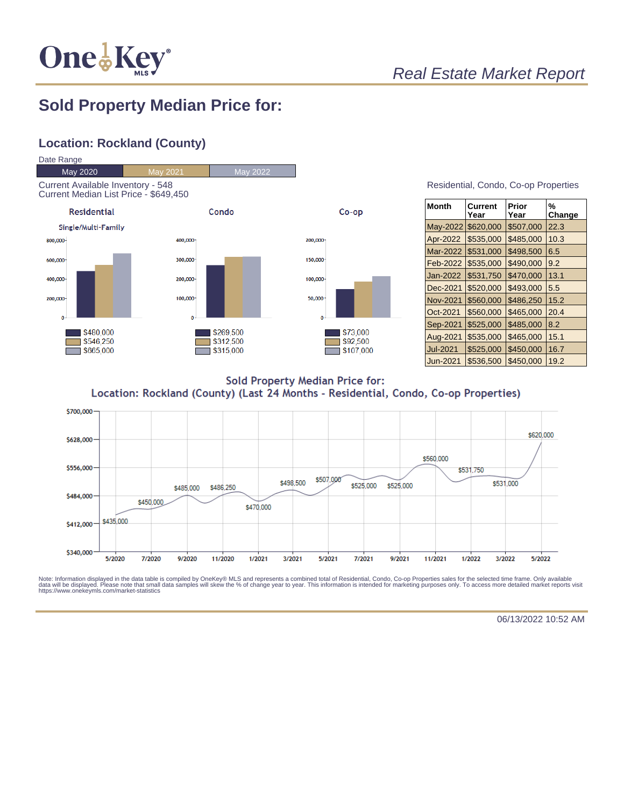

## Real Estate Market Report

## **Sold Property Median Price for:**

### **Location: Rockland (County)**



| Residential, Condo, Co-op Properties |  |  |
|--------------------------------------|--|--|
|                                      |  |  |

| Month           | Current<br>Year | Prior<br>Year | %<br>Change |
|-----------------|-----------------|---------------|-------------|
| May-2022        | \$620,000       | \$507,000     | 22.3        |
| Apr-2022        | \$535,000       | \$485,000     | 10.3        |
| Mar-2022        | \$531,000       | \$498,500     | 6.5         |
| Feb-2022        | \$535,000       | \$490,000     | 9.2         |
| Jan-2022        | \$531,750       | \$470,000     | 13.1        |
| Dec-2021        | \$520,000       | \$493,000     | 5.5         |
| <b>Nov-2021</b> | \$560,000       | \$486,250     | 15.2        |
| Oct-2021        | \$560,000       | \$465,000     | 20.4        |
| Sep-2021        | \$525,000       | \$485,000     | 8.2         |
| Aug-2021        | \$535,000       | \$465,000     | 15.1        |
| <b>Jul-2021</b> | \$525,000       | \$450,000     | 16.7        |
| Jun-2021        | \$536,500       | \$450.000     | 19.2        |

**Sold Property Median Price for:** Location: Rockland (County) (Last 24 Months - Residential, Condo, Co-op Properties)



Note: Information displayed in the data table is compiled by OneKey® MLS and represents a combined total of Residential, Condo, Co-op Properties sales for the selected time frame. Only available<br>data will be displayed. Pl

06/13/2022 10:52 AM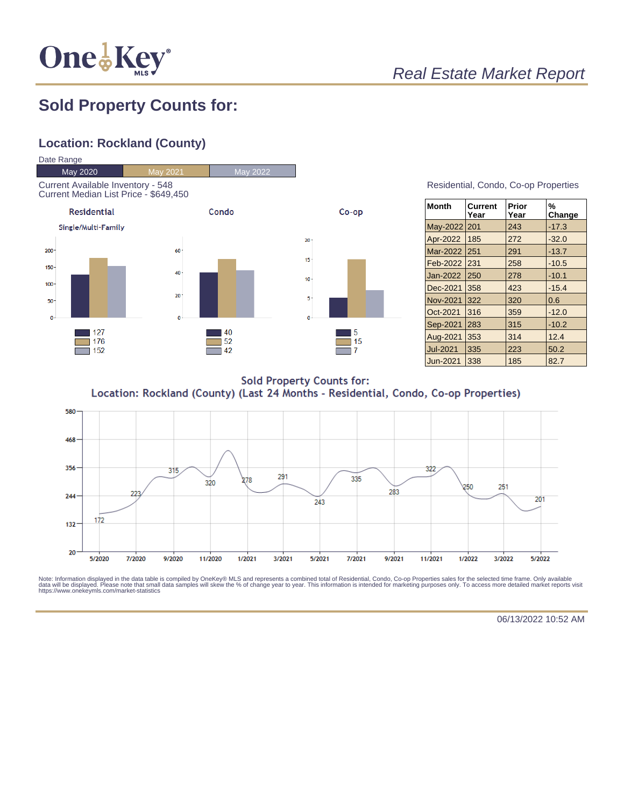

# Real Estate Market Report

## **Sold Property Counts for:**

## **Location: Rockland (County)**



#### Residential, Condo, Co-op Properties

| <b>Month</b>    | Current<br>Year | Prior<br>Year | %<br>Change |
|-----------------|-----------------|---------------|-------------|
| May-2022        | 201             | 243           | $-17.3$     |
| Apr-2022        | 185             | 272           | $-32.0$     |
| Mar-2022        | 251             | 291           | $-13.7$     |
| Feb-2022        | 231             | 258           | $-10.5$     |
| Jan-2022        | 250             | 278           | $-10.1$     |
| Dec-2021        | 358             | 423           | $-15.4$     |
| <b>Nov-2021</b> | 322             | 320           | 0.6         |
| Oct-2021        | 316             | 359           | $-12.0$     |
| Sep-2021        | 283             | 315           | $-10.2$     |
| Aug-2021        | 353             | 314           | 12.4        |
| <b>Jul-2021</b> | 335             | 223           | 50.2        |
| Jun-2021        | 338             | 185           | 82.7        |

**Sold Property Counts for:** Location: Rockland (County) (Last 24 Months - Residential, Condo, Co-op Properties)



Note: Information displayed in the data table is compiled by OneKey® MLS and represents a combined total of Residential, Condo, Co-op Properties sales for the selected time frame. Only available<br>data will be displayed. Pl

06/13/2022 10:52 AM